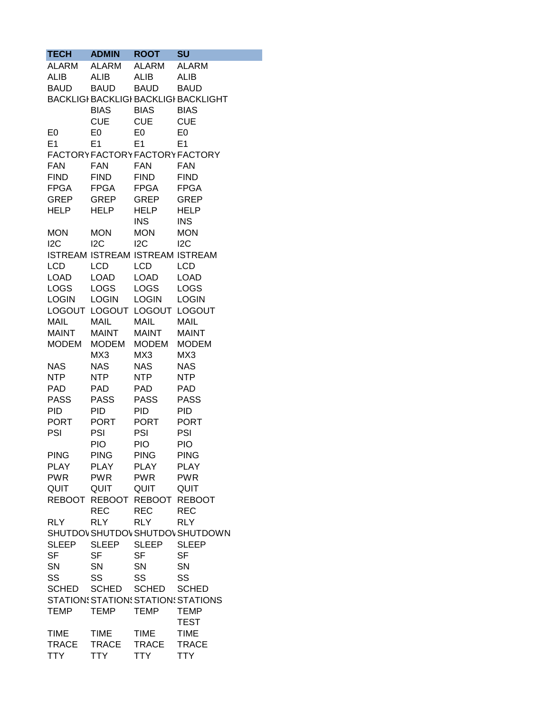| <b>TECH</b>    | <b>ADMIN</b>                    | <b>ROOT</b>    | <b>SU</b>                                   |
|----------------|---------------------------------|----------------|---------------------------------------------|
| <b>ALARM</b>   | <b>ALARM</b>                    | <b>ALARM</b>   | <b>ALARM</b>                                |
| <b>ALIB</b>    | <b>ALIB</b>                     | <b>ALIB</b>    | <b>ALIB</b>                                 |
| <b>BAUD</b>    | BAUD                            | <b>BAUD</b>    | <b>BAUD</b>                                 |
|                |                                 |                | <b>BACKLIGI BACKLIGI BACKLIGI BACKLIGHT</b> |
|                | <b>BIAS</b>                     | <b>BIAS</b>    | <b>BIAS</b>                                 |
|                | <b>CUE</b>                      | <b>CUE</b>     | <b>CUE</b>                                  |
|                |                                 |                |                                             |
| E <sub>0</sub> | E <sub>0</sub>                  | E <sub>0</sub> | E <sub>0</sub>                              |
| E1             | E1                              | E1             | E1                                          |
|                |                                 |                | FACTORY FACTORY FACTORY FACTORY             |
| <b>FAN</b>     | <b>FAN</b>                      | <b>FAN</b>     | <b>FAN</b>                                  |
| <b>FIND</b>    | <b>FIND</b>                     | <b>FIND</b>    | <b>FIND</b>                                 |
| <b>FPGA</b>    | <b>FPGA</b>                     | <b>FPGA</b>    | <b>FPGA</b>                                 |
| GREP           | GREP                            | GREP           | <b>GREP</b>                                 |
| <b>HELP</b>    | <b>HELP</b>                     | <b>HELP</b>    | <b>HELP</b>                                 |
|                |                                 | <b>INS</b>     | <b>INS</b>                                  |
| <b>MON</b>     | <b>MON</b>                      | <b>MON</b>     | <b>MON</b>                                  |
| 12C            | I <sub>2C</sub>                 | 12C            | 12C                                         |
|                | ISTREAM ISTREAM ISTREAM ISTREAM |                |                                             |
| <b>LCD</b>     | LCD                             | LCD            | <b>LCD</b>                                  |
| <b>LOAD</b>    | <b>LOAD</b>                     | <b>LOAD</b>    | <b>LOAD</b>                                 |
| <b>LOGS</b>    | <b>LOGS</b>                     | <b>LOGS</b>    | <b>LOGS</b>                                 |
| <b>LOGIN</b>   | <b>LOGIN</b>                    | <b>LOGIN</b>   | <b>LOGIN</b>                                |
|                | LOGOUT LOGOUT LOGOUT LOGOUT     |                |                                             |
| <b>MAIL</b>    | <b>MAIL</b>                     | <b>MAIL</b>    | <b>MAIL</b>                                 |
| <b>MAINT</b>   | <b>MAINT</b>                    | <b>MAINT</b>   | <b>MAINT</b>                                |
| <b>MODEM</b>   | <b>MODEM</b>                    | <b>MODEM</b>   | <b>MODEM</b>                                |
|                |                                 |                |                                             |
|                | MX3                             | MX3            | MX3                                         |
| <b>NAS</b>     | <b>NAS</b>                      | NAS            | <b>NAS</b>                                  |
| <b>NTP</b>     | <b>NTP</b>                      | NTP            | NTP                                         |
| <b>PAD</b>     | <b>PAD</b>                      | PAD            | <b>PAD</b>                                  |
| <b>PASS</b>    | <b>PASS</b>                     | <b>PASS</b>    | <b>PASS</b>                                 |
| <b>PID</b>     | <b>PID</b>                      | <b>PID</b>     | <b>PID</b>                                  |
| <b>PORT</b>    | <b>PORT</b>                     | <b>PORT</b>    | <b>PORT</b>                                 |
| PSI            | PSI                             | PSI            | PSI                                         |
|                | <b>PIO</b>                      | <b>PIO</b>     | <b>PIO</b>                                  |
| <b>PING</b>    | <b>PING</b>                     | <b>PING</b>    | <b>PING</b>                                 |
| <b>PLAY</b>    | <b>PLAY</b>                     | <b>PLAY</b>    | <b>PLAY</b>                                 |
| <b>PWR</b>     | <b>PWR</b>                      | <b>PWR</b>     | <b>PWR</b>                                  |
| QUIT           | QUIT                            | QUIT           | QUIT                                        |
|                | REBOOT REBOOT REBOOT REBOOT     |                |                                             |
|                | <b>REC</b>                      | <b>REC</b>     | <b>REC</b>                                  |
| <b>RLY</b>     | <b>RLY</b>                      | <b>RLY</b>     | <b>RLY</b>                                  |
|                |                                 |                | SHUTDOV SHUTDOV SHUTDOV SHUTDOWN            |
| <b>SLEEP</b>   | <b>SLEEP</b>                    | <b>SLEEP</b>   | <b>SLEEP</b>                                |
| <b>SF</b>      | <b>SF</b>                       | <b>SF</b>      | <b>SF</b>                                   |
| <b>SN</b>      | <b>SN</b>                       | SN             | SN                                          |
| SS             | SS                              | SS             | SS                                          |
| <b>SCHED</b>   | <b>SCHED</b>                    | <b>SCHED</b>   | <b>SCHED</b>                                |
|                |                                 |                | STATION: STATION: STATION: STATIONS         |
| <b>TEMP</b>    | TEMP                            | <b>TEMP</b>    | TEMP                                        |
|                |                                 |                | <b>TEST</b>                                 |
|                |                                 |                |                                             |
| <b>TIME</b>    | <b>TIME</b>                     | <b>TIME</b>    | <b>TIME</b>                                 |
| <b>TRACE</b>   | <b>TRACE</b>                    | <b>TRACE</b>   | <b>TRACE</b>                                |
| <b>TTY</b>     | TTY                             | <b>TTY</b>     | <b>TTY</b>                                  |